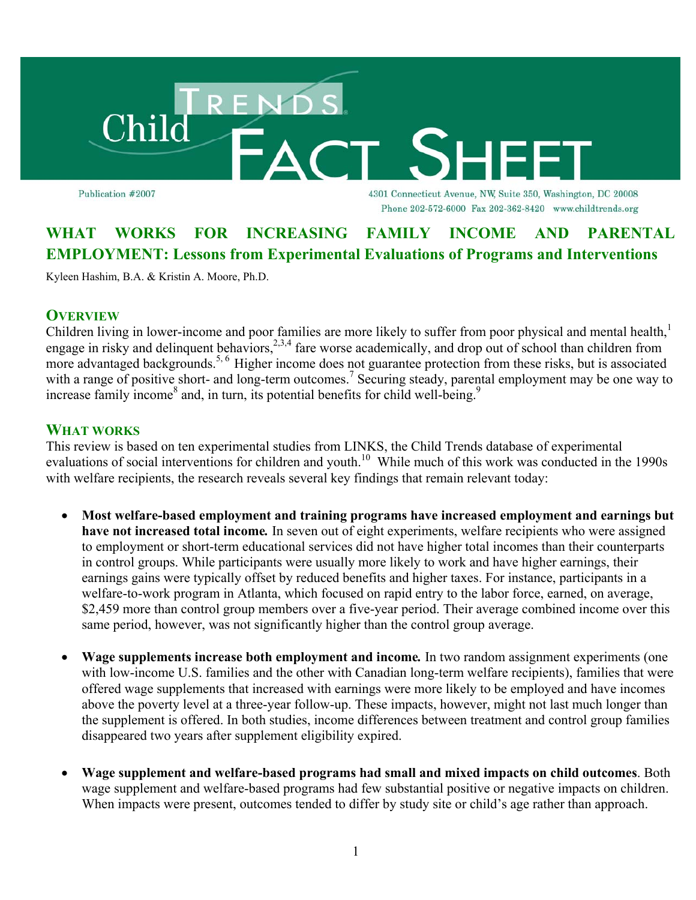

Publication #2007

4301 Connecticut Avenue, NW, Suite 350, Washington, DC 20008 Phone 202-572-6000 Fax 202-362-8420 www.childtrends.org

# **WHAT WORKS FOR INCREASING FAMILY INCOME AND PARENTAL EMPLOYMENT: Lessons from Experimental Evaluations of Programs and Interventions**

Kyleen Hashim, B.A. & Kristin A. Moore, Ph.D.

## **OVERVIEW**

Children living in lower-income and poor families are more likely to suffer from poor physical and mental health,<sup>1</sup> engage in risky and delinquent behaviors,<sup>2,3,4</sup> fare worse academically, and drop out of school than children from more advantaged backgrounds.<sup>5, 6</sup> Higher income does not guarantee protection from these risks, but is associated with a range of positive short- and long-term outcomes.<sup>7</sup> Securing steady, parental employment may be one way to increase family income<sup>8</sup> and, in turn, its potential benefits for child well-being.<sup>9</sup>

## **WHAT WORKS**

This review is based on ten experimental studies from LINKS, the Child Trends database of experimental evaluations of social interventions for children and youth.<sup>10</sup> While much of this work was conducted in the 1990s with welfare recipients, the research reveals several key findings that remain relevant today:

- **Most welfare-based employment and training programs have increased employment and earnings but have not increased total income***.* In seven out of eight experiments, welfare recipients who were assigned to employment or short-term educational services did not have higher total incomes than their counterparts in control groups. While participants were usually more likely to work and have higher earnings, their earnings gains were typically offset by reduced benefits and higher taxes. For instance, participants in a welfare-to-work program in Atlanta, which focused on rapid entry to the labor force, earned, on average, \$2,459 more than control group members over a five-year period. Their average combined income over this same period, however, was not significantly higher than the control group average.
- **Wage supplements increase both employment and income***.* In two random assignment experiments (one with low-income U.S. families and the other with Canadian long-term welfare recipients), families that were offered wage supplements that increased with earnings were more likely to be employed and have incomes above the poverty level at a three-year follow-up. These impacts, however, might not last much longer than the supplement is offered. In both studies, income differences between treatment and control group families disappeared two years after supplement eligibility expired.
- **Wage supplement and welfare-based programs had small and mixed impacts on child outcomes**. Both wage supplement and welfare-based programs had few substantial positive or negative impacts on children. When impacts were present, outcomes tended to differ by study site or child's age rather than approach.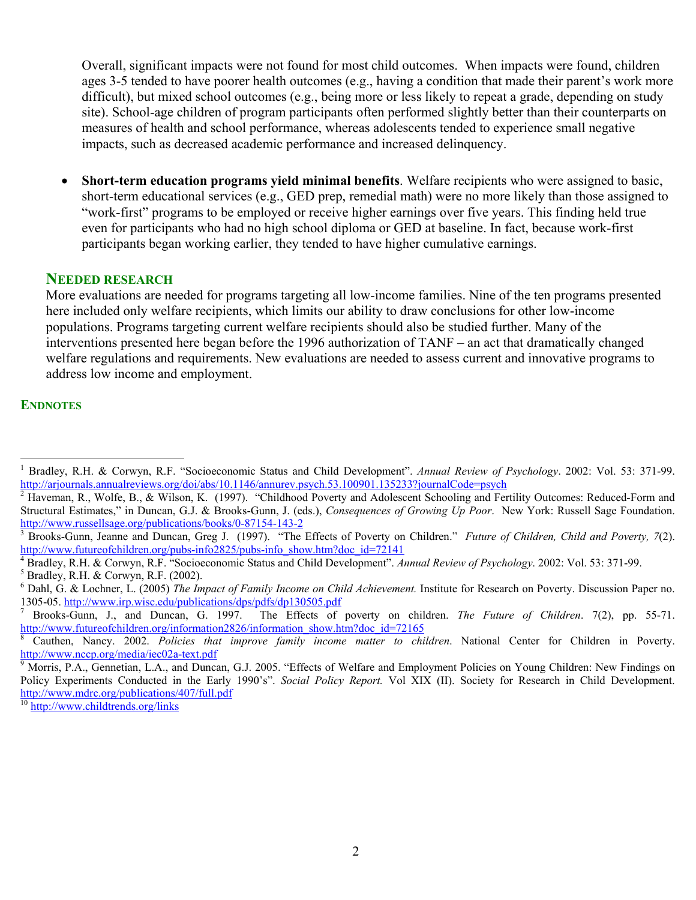Overall, significant impacts were not found for most child outcomes. When impacts were found, children ages 3-5 tended to have poorer health outcomes (e.g., having a condition that made their parent's work more difficult), but mixed school outcomes (e.g., being more or less likely to repeat a grade, depending on study site). School-age children of program participants often performed slightly better than their counterparts on measures of health and school performance, whereas adolescents tended to experience small negative impacts, such as decreased academic performance and increased delinquency.

• **Short-term education programs yield minimal benefits**. Welfare recipients who were assigned to basic, short-term educational services (e.g., GED prep, remedial math) were no more likely than those assigned to "work-first" programs to be employed or receive higher earnings over five years. This finding held true even for participants who had no high school diploma or GED at baseline. In fact, because work-first participants began working earlier, they tended to have higher cumulative earnings.

## **NEEDED RESEARCH**

More evaluations are needed for programs targeting all low-income families. Nine of the ten programs presented here included only welfare recipients, which limits our ability to draw conclusions for other low-income populations. Programs targeting current welfare recipients should also be studied further. Many of the interventions presented here began before the 1996 authorization of TANF – an act that dramatically changed welfare regulations and requirements. New evaluations are needed to assess current and innovative programs to address low income and employment.

#### **ENDNOTES**

 $\overline{a}$ 

<sup>10</sup> http://www.childtrends.org/links

<sup>1</sup> Bradley, R.H. & Corwyn, R.F. "Socioeconomic Status and Child Development". *Annual Review of Psychology*. 2002: Vol. 53: 371-99. http://arjournals.annualreviews.org/doi/abs/10.1146/annurev.psych.53.100901.135233?journalCode=psych

<sup>&</sup>lt;sup>2</sup> Haveman, R., Wolfe, B., & Wilson, K. (1997). "Childhood Poverty and Adolescent Schooling and Fertility Outcomes: Reduced-Form and Structural Estimates," in Duncan, G.J. & Brooks-Gunn, J. (eds.), *Consequences of Growing Up Poor*. New York: Russell Sage Foundation. http://www.russellsage.org/publications/books/0-87154-143-2 <sup>3</sup>

Brooks-Gunn, Jeanne and Duncan, Greg J. (1997). "The Effects of Poverty on Children." *Future of Children, Child and Poverty, 7*(2). http://www.futureofchildren.org/pubs-info2825/pubs-info\_show.htm?doc\_id=72141

<sup>&</sup>lt;sup>4</sup> Bradley, R.H. & Corwyn, R.F. "Socioeconomic Status and Child Development". Annual Review of Psychology. 2002: Vol. 53: 371-99.

 $<sup>5</sup>$  Bradley, R.H. & Corwyn, R.F. (2002).</sup>

<sup>&</sup>lt;sup>6</sup> Dahl, G. & Lochner, L. (2005) *The Impact of Family Income on Child Achievement*. Institute for Research on Poverty. Discussion Paper no. 1305-05. http://www.irp.wisc.edu/publications/dps/pdfs/dp130505.pdf<br><sup>7</sup> Brooks-Gunn, J., and Duncan, G. 1997. The Effects of

The Effects of poverty on children. *The Future of Children*. 7(2), pp. 55-71. http://www.futureofchildren.org/information2826/information\_show.htm?doc\_id=72165

Cauthen, Nancy. 2002. *Policies that improve family income matter to children*. National Center for Children in Poverty. http://www.nccp.org/media/iec02a-text.pdf

<sup>&</sup>lt;sup>9</sup> Morris, P.A., Gennetian, L.A., and Duncan, G.J. 2005. "Effects of Welfare and Employment Policies on Young Children: New Findings on Policy Experiments Conducted in the Early 1990's". *Social Policy Report.* Vol XIX (II). Society for Research in Child Development. http://www.mdrc.org/publications/407/full.pdf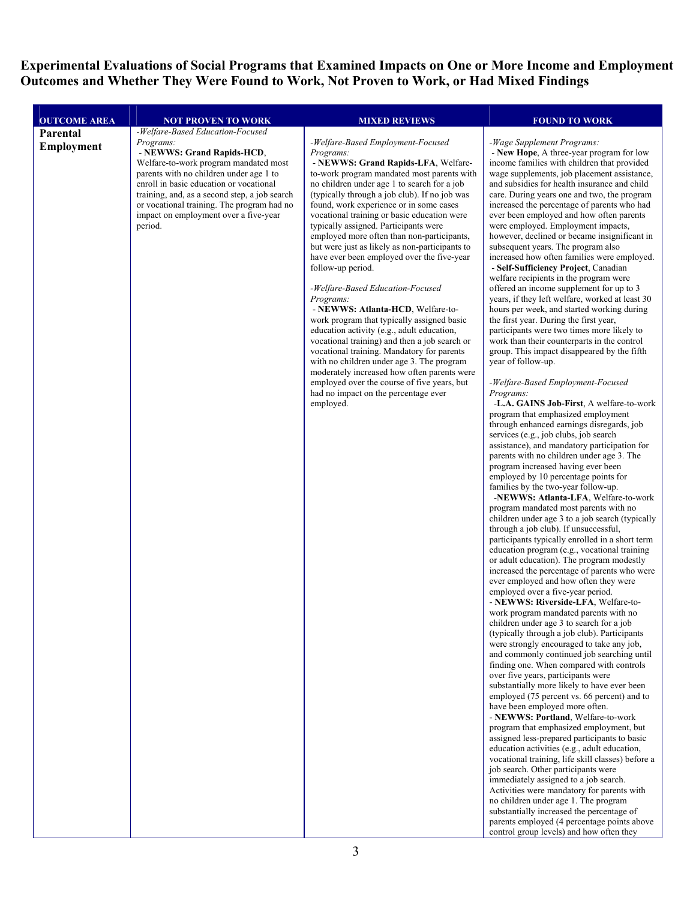**Experimental Evaluations of Social Programs that Examined Impacts on One or More Income and Employment Outcomes and Whether They Were Found to Work, Not Proven to Work, or Had Mixed Findings** 

| Parental<br>-Welfare-Based Employment-Focused<br>-Wage Supplement Programs:<br>Programs:<br><b>Employment</b><br>- NEWWS: Grand Rapids-HCD,<br>Programs:<br>Welfare-to-work program mandated most<br>- NEWWS: Grand Rapids-LFA, Welfare-<br>parents with no children under age 1 to<br>to-work program mandated most parents with<br>enroll in basic education or vocational<br>no children under age 1 to search for a job<br>training, and, as a second step, a job search<br>(typically through a job club). If no job was<br>or vocational training. The program had no<br>found, work experience or in some cases<br>vocational training or basic education were<br>impact on employment over a five-year<br>typically assigned. Participants were<br>period.<br>employed more often than non-participants,<br>but were just as likely as non-participants to<br>subsequent years. The program also<br>have ever been employed over the five-year<br>follow-up period.<br>-Welfare-Based Education-Focused<br>Programs:<br>- NEWWS: Atlanta-HCD, Welfare-to-<br>work program that typically assigned basic<br>the first year. During the first year,<br>education activity (e.g., adult education,<br>vocational training) and then a job search or<br>vocational training. Mandatory for parents<br>with no children under age 3. The program<br>year of follow-up.<br>moderately increased how often parents were<br>employed over the course of five years, but<br>had no impact on the percentage ever<br>Programs:<br>employed.<br>services (e.g., job clubs, job search<br>program increased having ever been<br>families by the two-year follow-up.<br>program mandated most parents with no<br>through a job club). If unsuccessful,<br>employed over a five-year period.<br>over five years, participants were | <b>OUTCOME AREA</b> | <b>NOT PROVEN TO WORK</b>        | <b>MIXED REVIEWS</b> | <b>FOUND TO WORK</b>                                                                                                                                                                                                                                                                                                                                                                                                                                                                                                                                                                                                                                                                                                                                                                                                                                                                                                                                                                                                                                                                                                                                          |
|------------------------------------------------------------------------------------------------------------------------------------------------------------------------------------------------------------------------------------------------------------------------------------------------------------------------------------------------------------------------------------------------------------------------------------------------------------------------------------------------------------------------------------------------------------------------------------------------------------------------------------------------------------------------------------------------------------------------------------------------------------------------------------------------------------------------------------------------------------------------------------------------------------------------------------------------------------------------------------------------------------------------------------------------------------------------------------------------------------------------------------------------------------------------------------------------------------------------------------------------------------------------------------------------------------------------------------------------------------------------------------------------------------------------------------------------------------------------------------------------------------------------------------------------------------------------------------------------------------------------------------------------------------------------------------------------------------------------------------------------------------------------------------------------------------------------------|---------------------|----------------------------------|----------------------|---------------------------------------------------------------------------------------------------------------------------------------------------------------------------------------------------------------------------------------------------------------------------------------------------------------------------------------------------------------------------------------------------------------------------------------------------------------------------------------------------------------------------------------------------------------------------------------------------------------------------------------------------------------------------------------------------------------------------------------------------------------------------------------------------------------------------------------------------------------------------------------------------------------------------------------------------------------------------------------------------------------------------------------------------------------------------------------------------------------------------------------------------------------|
|                                                                                                                                                                                                                                                                                                                                                                                                                                                                                                                                                                                                                                                                                                                                                                                                                                                                                                                                                                                                                                                                                                                                                                                                                                                                                                                                                                                                                                                                                                                                                                                                                                                                                                                                                                                                                              |                     | -Welfare-Based Education-Focused |                      | - New Hope, A three-year program for low<br>income families with children that provided<br>wage supplements, job placement assistance,<br>and subsidies for health insurance and child<br>care. During years one and two, the program<br>increased the percentage of parents who had<br>ever been employed and how often parents<br>were employed. Employment impacts,<br>however, declined or became insignificant in<br>increased how often families were employed.                                                                                                                                                                                                                                                                                                                                                                                                                                                                                                                                                                                                                                                                                         |
|                                                                                                                                                                                                                                                                                                                                                                                                                                                                                                                                                                                                                                                                                                                                                                                                                                                                                                                                                                                                                                                                                                                                                                                                                                                                                                                                                                                                                                                                                                                                                                                                                                                                                                                                                                                                                              |                     |                                  |                      | - Self-Sufficiency Project, Canadian<br>welfare recipients in the program were<br>offered an income supplement for up to 3<br>years, if they left welfare, worked at least 30<br>hours per week, and started working during<br>participants were two times more likely to<br>work than their counterparts in the control<br>group. This impact disappeared by the fifth<br>-Welfare-Based Employment-Focused<br>-L.A. GAINS Job-First, A welfare-to-work<br>program that emphasized employment<br>through enhanced earnings disregards, job<br>assistance), and mandatory participation for<br>parents with no children under age 3. The<br>employed by 10 percentage points for<br>-NEWWS: Atlanta-LFA, Welfare-to-work                                                                                                                                                                                                                                                                                                                                                                                                                                      |
| job search. Other participants were                                                                                                                                                                                                                                                                                                                                                                                                                                                                                                                                                                                                                                                                                                                                                                                                                                                                                                                                                                                                                                                                                                                                                                                                                                                                                                                                                                                                                                                                                                                                                                                                                                                                                                                                                                                          |                     |                                  |                      | children under age 3 to a job search (typically<br>participants typically enrolled in a short term<br>education program (e.g., vocational training<br>or adult education). The program modestly<br>increased the percentage of parents who were<br>ever employed and how often they were<br>- NEWWS: Riverside-LFA, Welfare-to-<br>work program mandated parents with no<br>children under age 3 to search for a job<br>(typically through a job club). Participants<br>were strongly encouraged to take any job,<br>and commonly continued job searching until<br>finding one. When compared with controls<br>substantially more likely to have ever been<br>employed (75 percent vs. 66 percent) and to<br>have been employed more often.<br>- NEWWS: Portland, Welfare-to-work<br>program that emphasized employment, but<br>assigned less-prepared participants to basic<br>education activities (e.g., adult education,<br>vocational training, life skill classes) before a<br>immediately assigned to a job search.<br>Activities were mandatory for parents with<br>no children under age 1. The program<br>substantially increased the percentage of |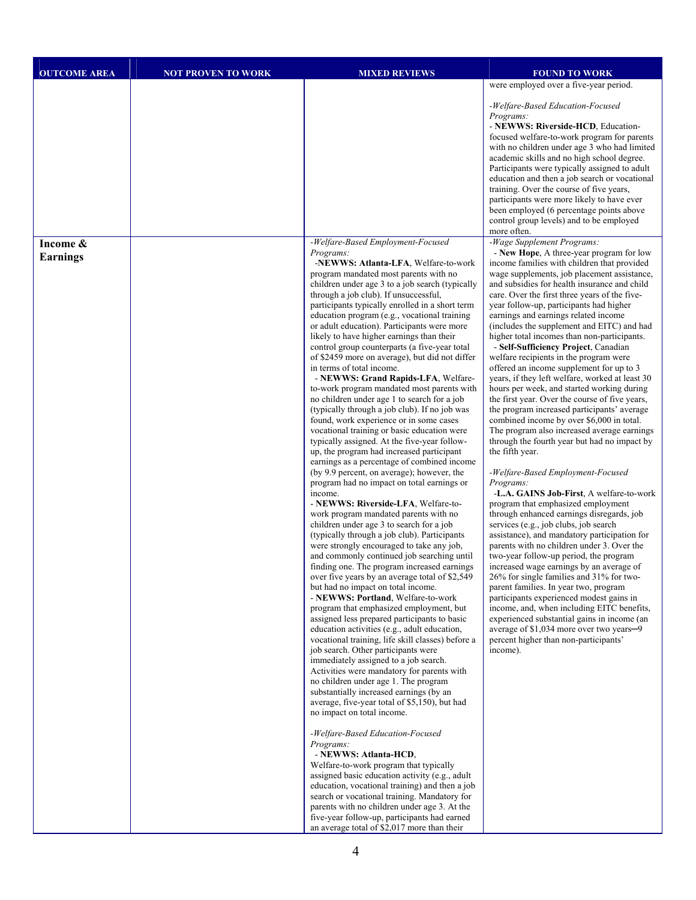| <b>OUTCOME AREA</b>         | <b>NOT PROVEN TO WORK</b> | <b>MIXED REVIEWS</b>                                                                                                                                                                                                                                                                                                                                                                                                                                                                                                                                                                                                                                                                                                                                                                                                                                                                                                                                                                                                                                                                                                                                                                                                                                                                                                                                                                                                                                                                                                                                                                                                                                                                                                                                                                                                                                                                                                                                                                                                                                                                                                                                                                                                                                                                                                                                                                                                                                                    | <b>FOUND TO WORK</b>                                                                                                                                                                                                                                                                                                                                                                                                                                                                                                                                                                                                                                                                                                                                                                                                                                                                                                                                                                                                                                                                                                                                                                                                                                                                                                                                                                                                                                                                                                                                                                                                                                                                              |
|-----------------------------|---------------------------|-------------------------------------------------------------------------------------------------------------------------------------------------------------------------------------------------------------------------------------------------------------------------------------------------------------------------------------------------------------------------------------------------------------------------------------------------------------------------------------------------------------------------------------------------------------------------------------------------------------------------------------------------------------------------------------------------------------------------------------------------------------------------------------------------------------------------------------------------------------------------------------------------------------------------------------------------------------------------------------------------------------------------------------------------------------------------------------------------------------------------------------------------------------------------------------------------------------------------------------------------------------------------------------------------------------------------------------------------------------------------------------------------------------------------------------------------------------------------------------------------------------------------------------------------------------------------------------------------------------------------------------------------------------------------------------------------------------------------------------------------------------------------------------------------------------------------------------------------------------------------------------------------------------------------------------------------------------------------------------------------------------------------------------------------------------------------------------------------------------------------------------------------------------------------------------------------------------------------------------------------------------------------------------------------------------------------------------------------------------------------------------------------------------------------------------------------------------------------|---------------------------------------------------------------------------------------------------------------------------------------------------------------------------------------------------------------------------------------------------------------------------------------------------------------------------------------------------------------------------------------------------------------------------------------------------------------------------------------------------------------------------------------------------------------------------------------------------------------------------------------------------------------------------------------------------------------------------------------------------------------------------------------------------------------------------------------------------------------------------------------------------------------------------------------------------------------------------------------------------------------------------------------------------------------------------------------------------------------------------------------------------------------------------------------------------------------------------------------------------------------------------------------------------------------------------------------------------------------------------------------------------------------------------------------------------------------------------------------------------------------------------------------------------------------------------------------------------------------------------------------------------------------------------------------------------|
|                             |                           |                                                                                                                                                                                                                                                                                                                                                                                                                                                                                                                                                                                                                                                                                                                                                                                                                                                                                                                                                                                                                                                                                                                                                                                                                                                                                                                                                                                                                                                                                                                                                                                                                                                                                                                                                                                                                                                                                                                                                                                                                                                                                                                                                                                                                                                                                                                                                                                                                                                                         | were employed over a five-year period.                                                                                                                                                                                                                                                                                                                                                                                                                                                                                                                                                                                                                                                                                                                                                                                                                                                                                                                                                                                                                                                                                                                                                                                                                                                                                                                                                                                                                                                                                                                                                                                                                                                            |
|                             |                           |                                                                                                                                                                                                                                                                                                                                                                                                                                                                                                                                                                                                                                                                                                                                                                                                                                                                                                                                                                                                                                                                                                                                                                                                                                                                                                                                                                                                                                                                                                                                                                                                                                                                                                                                                                                                                                                                                                                                                                                                                                                                                                                                                                                                                                                                                                                                                                                                                                                                         | -Welfare-Based Education-Focused<br>Programs:<br>- NEWWS: Riverside-HCD, Education-<br>focused welfare-to-work program for parents<br>with no children under age 3 who had limited<br>academic skills and no high school degree.<br>Participants were typically assigned to adult<br>education and then a job search or vocational<br>training. Over the course of five years,<br>participants were more likely to have ever<br>been employed (6 percentage points above<br>control group levels) and to be employed<br>more often.                                                                                                                                                                                                                                                                                                                                                                                                                                                                                                                                                                                                                                                                                                                                                                                                                                                                                                                                                                                                                                                                                                                                                               |
| Income &<br><b>Earnings</b> |                           | -Welfare-Based Employment-Focused<br>Programs:<br>-NEWWS: Atlanta-LFA, Welfare-to-work<br>program mandated most parents with no<br>children under age 3 to a job search (typically<br>through a job club). If unsuccessful,<br>participants typically enrolled in a short term<br>education program (e.g., vocational training<br>or adult education). Participants were more<br>likely to have higher earnings than their<br>control group counterparts (a five-year total<br>of \$2459 more on average), but did not differ<br>in terms of total income.<br>- NEWWS: Grand Rapids-LFA, Welfare-<br>to-work program mandated most parents with<br>no children under age 1 to search for a job<br>(typically through a job club). If no job was<br>found, work experience or in some cases<br>vocational training or basic education were<br>typically assigned. At the five-year follow-<br>up, the program had increased participant<br>earnings as a percentage of combined income<br>(by 9.9 percent, on average); however, the<br>program had no impact on total earnings or<br>income.<br>- NEWWS: Riverside-LFA, Welfare-to-<br>work program mandated parents with no<br>children under age 3 to search for a job<br>(typically through a job club). Participants<br>were strongly encouraged to take any job,<br>and commonly continued job searching until<br>finding one. The program increased earnings<br>over five years by an average total of \$2,549<br>but had no impact on total income.<br>- NEWWS: Portland, Welfare-to-work<br>program that emphasized employment, but<br>assigned less prepared participants to basic<br>education activities (e.g., adult education,<br>vocational training, life skill classes) before a<br>job search. Other participants were<br>immediately assigned to a job search.<br>Activities were mandatory for parents with<br>no children under age 1. The program<br>substantially increased earnings (by an<br>average, five-year total of \$5,150), but had<br>no impact on total income.<br>-Welfare-Based Education-Focused<br>Programs:<br>- NEWWS: Atlanta-HCD,<br>Welfare-to-work program that typically<br>assigned basic education activity (e.g., adult<br>education, vocational training) and then a job<br>search or vocational training. Mandatory for<br>parents with no children under age 3. At the<br>five-year follow-up, participants had earned<br>an average total of \$2,017 more than their | -Wage Supplement Programs:<br>- New Hope, A three-year program for low<br>income families with children that provided<br>wage supplements, job placement assistance,<br>and subsidies for health insurance and child<br>care. Over the first three years of the five-<br>year follow-up, participants had higher<br>earnings and earnings related income<br>(includes the supplement and EITC) and had<br>higher total incomes than non-participants.<br>- Self-Sufficiency Project, Canadian<br>welfare recipients in the program were<br>offered an income supplement for up to 3<br>years, if they left welfare, worked at least 30<br>hours per week, and started working during<br>the first year. Over the course of five years,<br>the program increased participants' average<br>combined income by over \$6,000 in total.<br>The program also increased average earnings<br>through the fourth year but had no impact by<br>the fifth year.<br>-Welfare-Based Employment-Focused<br>Programs:<br>-L.A. GAINS Job-First, A welfare-to-work<br>program that emphasized employment<br>through enhanced earnings disregards, job<br>services (e.g., job clubs, job search<br>assistance), and mandatory participation for<br>parents with no children under 3. Over the<br>two-year follow-up period, the program<br>increased wage earnings by an average of<br>26% for single families and 31% for two-<br>parent families. In year two, program<br>participants experienced modest gains in<br>income, and, when including EITC benefits,<br>experienced substantial gains in income (an<br>average of \$1,034 more over two years-9<br>percent higher than non-participants'<br>income). |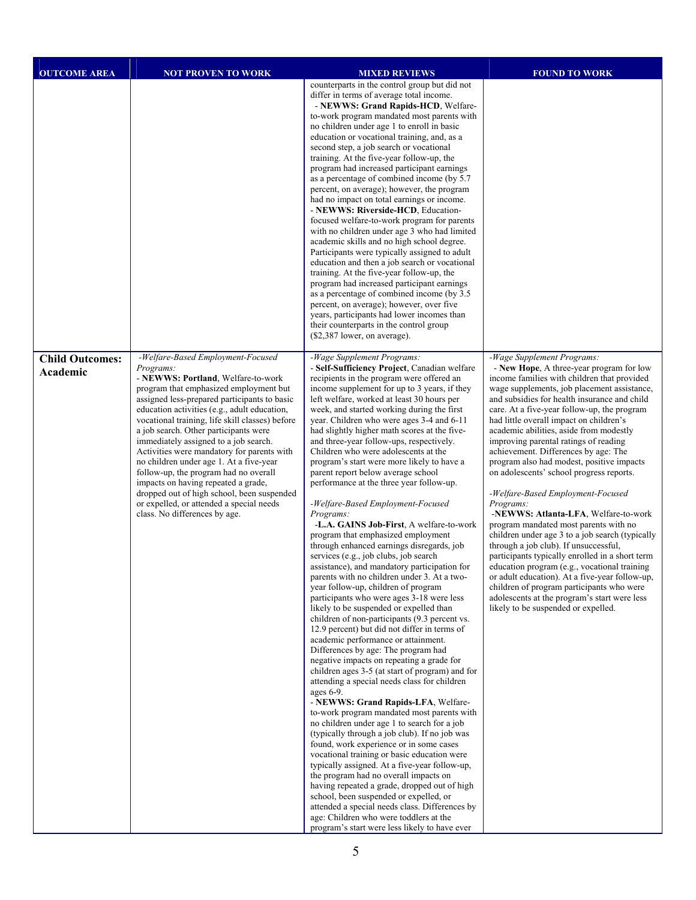| <b>OUTCOME AREA</b>                | <b>NOT PROVEN TO WORK</b>                                                                                                                                                                                                                                                                                                                                                                                                                                                                                                                                                                                                                                               | <b>MIXED REVIEWS</b>                                                                                                                                                                                                                                                                                                                                                                                                                                                                                                                                                                                                                                                                                                                                                                                                                                                                                                                                                                                                                                                                                                                                                                                                                                                                                                                                                                                                                                                                                                                                                                                                                                                                                                                                                                                                                                                                                                                                                                                     | <b>FOUND TO WORK</b>                                                                                                                                                                                                                                                                                                                                                                                                                                                                                                                                                                                                                                                                                                                                                                                                                                                                                                                                                                                                                                        |
|------------------------------------|-------------------------------------------------------------------------------------------------------------------------------------------------------------------------------------------------------------------------------------------------------------------------------------------------------------------------------------------------------------------------------------------------------------------------------------------------------------------------------------------------------------------------------------------------------------------------------------------------------------------------------------------------------------------------|----------------------------------------------------------------------------------------------------------------------------------------------------------------------------------------------------------------------------------------------------------------------------------------------------------------------------------------------------------------------------------------------------------------------------------------------------------------------------------------------------------------------------------------------------------------------------------------------------------------------------------------------------------------------------------------------------------------------------------------------------------------------------------------------------------------------------------------------------------------------------------------------------------------------------------------------------------------------------------------------------------------------------------------------------------------------------------------------------------------------------------------------------------------------------------------------------------------------------------------------------------------------------------------------------------------------------------------------------------------------------------------------------------------------------------------------------------------------------------------------------------------------------------------------------------------------------------------------------------------------------------------------------------------------------------------------------------------------------------------------------------------------------------------------------------------------------------------------------------------------------------------------------------------------------------------------------------------------------------------------------------|-------------------------------------------------------------------------------------------------------------------------------------------------------------------------------------------------------------------------------------------------------------------------------------------------------------------------------------------------------------------------------------------------------------------------------------------------------------------------------------------------------------------------------------------------------------------------------------------------------------------------------------------------------------------------------------------------------------------------------------------------------------------------------------------------------------------------------------------------------------------------------------------------------------------------------------------------------------------------------------------------------------------------------------------------------------|
|                                    |                                                                                                                                                                                                                                                                                                                                                                                                                                                                                                                                                                                                                                                                         | counterparts in the control group but did not<br>differ in terms of average total income.<br>- NEWWS: Grand Rapids-HCD, Welfare-<br>to-work program mandated most parents with<br>no children under age 1 to enroll in basic<br>education or vocational training, and, as a<br>second step, a job search or vocational<br>training. At the five-year follow-up, the<br>program had increased participant earnings<br>as a percentage of combined income (by 5.7<br>percent, on average); however, the program<br>had no impact on total earnings or income.<br>- NEWWS: Riverside-HCD, Education-<br>focused welfare-to-work program for parents<br>with no children under age 3 who had limited<br>academic skills and no high school degree.<br>Participants were typically assigned to adult<br>education and then a job search or vocational<br>training. At the five-year follow-up, the<br>program had increased participant earnings<br>as a percentage of combined income (by 3.5)<br>percent, on average); however, over five<br>years, participants had lower incomes than<br>their counterparts in the control group<br>(\$2,387 lower, on average).                                                                                                                                                                                                                                                                                                                                                                                                                                                                                                                                                                                                                                                                                                                                                                                                                                          |                                                                                                                                                                                                                                                                                                                                                                                                                                                                                                                                                                                                                                                                                                                                                                                                                                                                                                                                                                                                                                                             |
| <b>Child Outcomes:</b><br>Academic | -Welfare-Based Employment-Focused<br>Programs:<br>- NEWWS: Portland, Welfare-to-work<br>program that emphasized employment but<br>assigned less-prepared participants to basic<br>education activities (e.g., adult education,<br>vocational training, life skill classes) before<br>a job search. Other participants were<br>immediately assigned to a job search.<br>Activities were mandatory for parents with<br>no children under age 1. At a five-year<br>follow-up, the program had no overall<br>impacts on having repeated a grade,<br>dropped out of high school, been suspended<br>or expelled, or attended a special needs<br>class. No differences by age. | -Wage Supplement Programs:<br>- Self-Sufficiency Project, Canadian welfare<br>recipients in the program were offered an<br>income supplement for up to 3 years, if they<br>left welfare, worked at least 30 hours per<br>week, and started working during the first<br>year. Children who were ages 3-4 and 6-11<br>had slightly higher math scores at the five-<br>and three-year follow-ups, respectively.<br>Children who were adolescents at the<br>program's start were more likely to have a<br>parent report below average school<br>performance at the three year follow-up.<br>-Welfare-Based Employment-Focused<br>Programs:<br>-L.A. GAINS Job-First, A welfare-to-work<br>program that emphasized employment<br>through enhanced earnings disregards, job<br>services (e.g., job clubs, job search<br>assistance), and mandatory participation for<br>parents with no children under 3. At a two-<br>year follow-up, children of program<br>participants who were ages 3-18 were less<br>likely to be suspended or expelled than<br>children of non-participants (9.3 percent vs.<br>12.9 percent) but did not differ in terms of<br>academic performance or attainment.<br>Differences by age: The program had<br>negative impacts on repeating a grade for<br>children ages 3-5 (at start of program) and for<br>attending a special needs class for children<br>ages 6-9.<br>- NEWWS: Grand Rapids-LFA, Welfare-<br>to-work program mandated most parents with<br>no children under age 1 to search for a job<br>(typically through a job club). If no job was<br>found, work experience or in some cases<br>vocational training or basic education were<br>typically assigned. At a five-year follow-up,<br>the program had no overall impacts on<br>having repeated a grade, dropped out of high<br>school, been suspended or expelled, or<br>attended a special needs class. Differences by<br>age: Children who were toddlers at the<br>program's start were less likely to have ever | -Wage Supplement Programs:<br>- New Hope, A three-year program for low<br>income families with children that provided<br>wage supplements, job placement assistance,<br>and subsidies for health insurance and child<br>care. At a five-year follow-up, the program<br>had little overall impact on children's<br>academic abilities, aside from modestly<br>improving parental ratings of reading<br>achievement. Differences by age: The<br>program also had modest, positive impacts<br>on adolescents' school progress reports.<br>-Welfare-Based Employment-Focused<br>Programs:<br>-NEWWS: Atlanta-LFA, Welfare-to-work<br>program mandated most parents with no<br>children under age 3 to a job search (typically<br>through a job club). If unsuccessful,<br>participants typically enrolled in a short term<br>education program (e.g., vocational training<br>or adult education). At a five-year follow-up,<br>children of program participants who were<br>adolescents at the program's start were less<br>likely to be suspended or expelled. |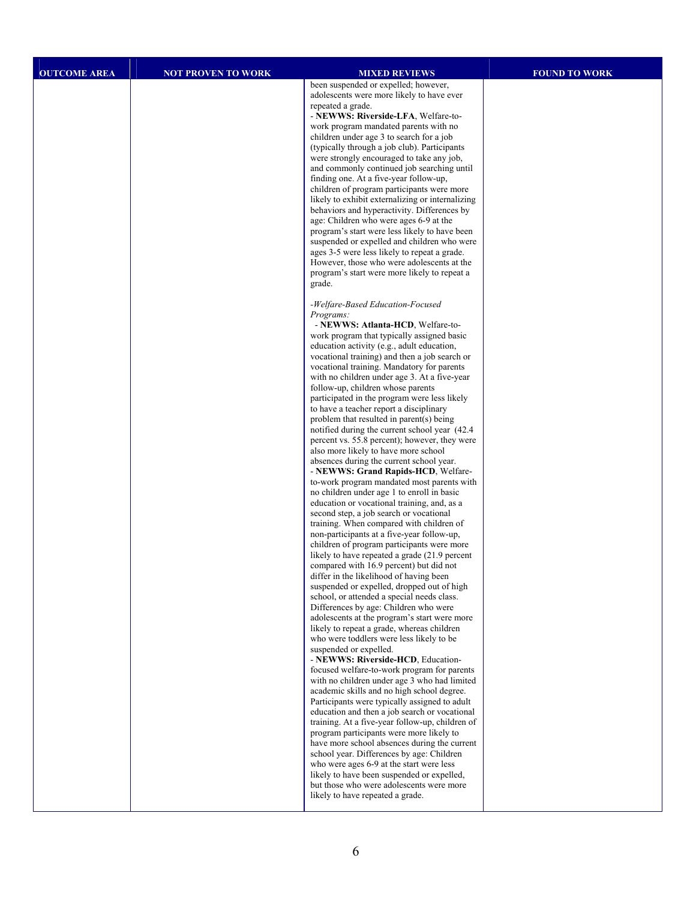| <b>OUTCOME AREA</b> | <b>NOT PROVEN TO WORK</b> | <b>MIXED REVIEWS</b>                                                                           | <b>FOUND TO WORK</b> |
|---------------------|---------------------------|------------------------------------------------------------------------------------------------|----------------------|
|                     |                           | been suspended or expelled; however,                                                           |                      |
|                     |                           | adolescents were more likely to have ever                                                      |                      |
|                     |                           | repeated a grade.<br>- NEWWS: Riverside-LFA, Welfare-to-                                       |                      |
|                     |                           | work program mandated parents with no                                                          |                      |
|                     |                           | children under age 3 to search for a job                                                       |                      |
|                     |                           | (typically through a job club). Participants                                                   |                      |
|                     |                           | were strongly encouraged to take any job,<br>and commonly continued job searching until        |                      |
|                     |                           | finding one. At a five-year follow-up,                                                         |                      |
|                     |                           | children of program participants were more<br>likely to exhibit externalizing or internalizing |                      |
|                     |                           | behaviors and hyperactivity. Differences by                                                    |                      |
|                     |                           | age: Children who were ages 6-9 at the                                                         |                      |
|                     |                           | program's start were less likely to have been                                                  |                      |
|                     |                           | suspended or expelled and children who were<br>ages 3-5 were less likely to repeat a grade.    |                      |
|                     |                           | However, those who were adolescents at the                                                     |                      |
|                     |                           | program's start were more likely to repeat a                                                   |                      |
|                     |                           | grade.                                                                                         |                      |
|                     |                           | -Welfare-Based Education-Focused                                                               |                      |
|                     |                           | Programs:<br>- NEWWS: Atlanta-HCD, Welfare-to-                                                 |                      |
|                     |                           | work program that typically assigned basic                                                     |                      |
|                     |                           | education activity (e.g., adult education,                                                     |                      |
|                     |                           | vocational training) and then a job search or<br>vocational training. Mandatory for parents    |                      |
|                     |                           | with no children under age 3. At a five-year                                                   |                      |
|                     |                           | follow-up, children whose parents                                                              |                      |
|                     |                           | participated in the program were less likely<br>to have a teacher report a disciplinary        |                      |
|                     |                           | problem that resulted in parent(s) being                                                       |                      |
|                     |                           | notified during the current school year (42.4)                                                 |                      |
|                     |                           | percent vs. 55.8 percent); however, they were<br>also more likely to have more school          |                      |
|                     |                           | absences during the current school year.                                                       |                      |
|                     |                           | - NEWWS: Grand Rapids-HCD, Welfare-                                                            |                      |
|                     |                           | to-work program mandated most parents with<br>no children under age 1 to enroll in basic       |                      |
|                     |                           | education or vocational training, and, as a                                                    |                      |
|                     |                           | second step, a job search or vocational<br>training. When compared with children of            |                      |
|                     |                           | non-participants at a five-year follow-up,                                                     |                      |
|                     |                           | children of program participants were more                                                     |                      |
|                     |                           | likely to have repeated a grade (21.9 percent<br>compared with 16.9 percent) but did not       |                      |
|                     |                           | differ in the likelihood of having been                                                        |                      |
|                     |                           | suspended or expelled, dropped out of high                                                     |                      |
|                     |                           | school, or attended a special needs class.<br>Differences by age: Children who were            |                      |
|                     |                           | adolescents at the program's start were more                                                   |                      |
|                     |                           | likely to repeat a grade, whereas children<br>who were toddlers were less likely to be         |                      |
|                     |                           | suspended or expelled.                                                                         |                      |
|                     |                           | - NEWWS: Riverside-HCD, Education-                                                             |                      |
|                     |                           | focused welfare-to-work program for parents<br>with no children under age 3 who had limited    |                      |
|                     |                           | academic skills and no high school degree.                                                     |                      |
|                     |                           | Participants were typically assigned to adult<br>education and then a job search or vocational |                      |
|                     |                           | training. At a five-year follow-up, children of                                                |                      |
|                     |                           | program participants were more likely to                                                       |                      |
|                     |                           | have more school absences during the current<br>school year. Differences by age: Children      |                      |
|                     |                           | who were ages 6-9 at the start were less                                                       |                      |
|                     |                           | likely to have been suspended or expelled,                                                     |                      |
|                     |                           | but those who were adolescents were more<br>likely to have repeated a grade.                   |                      |
|                     |                           |                                                                                                |                      |